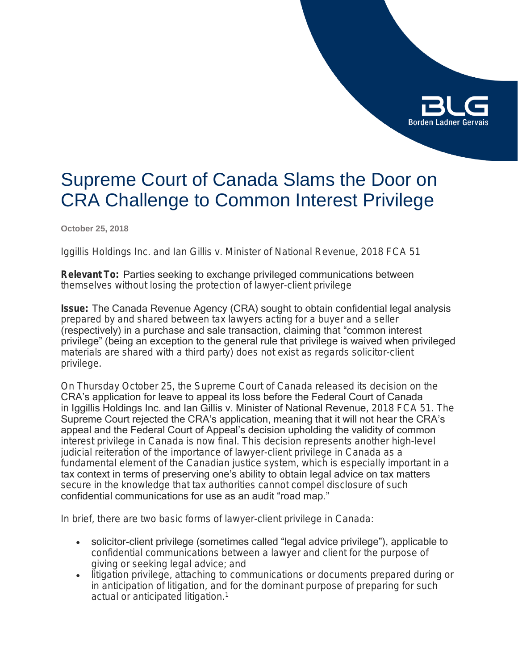

# Supreme Court of Canada Slams the Door on CRA Challenge to Common Interest Privilege

**October 25, 2018**

*Iggillis Holdings Inc. and Ian Gillis v. Minister of National Revenue*, 2018 FCA 51

**Relevant To:** Parties seeking to exchange privileged communications between themselves without losing the protection of lawyer-client privilege

**Issue:** The Canada Revenue Agency (CRA) sought to obtain confidential legal analysis prepared by and shared between tax lawyers acting for a buyer and a seller (respectively) in a purchase and sale transaction, claiming that "common interest privilege" (being an exception to the general rule that privilege is waived when privileged materials are shared with a third party) does not exist as regards solicitor-client privilege.

On Thursday October 25, the Supreme Court of Canada released its decision on the CRA's application for leave to appeal its loss before the Federal Court of Canada in Iggillis Holdings Inc. and Ian Gillis v. Minister of National Revenue, 2018 FCA 51. The Supreme Court rejected the CRA's application, meaning that it will not hear the CRA's appeal and the Federal Court of Appeal's decision upholding the validity of common interest privilege in Canada is now final. This decision represents another high-level judicial reiteration of the importance of lawyer-client privilege in Canada as a fundamental element of the Canadian justice system, which is especially important in a tax context in terms of preserving one's ability to obtain legal advice on tax matters secure in the knowledge that tax authorities cannot compel disclosure of such confidential communications for use as an audit "road map."

In brief, there are two basic forms of lawyer-client privilege in Canada:

- solicitor-client privilege (sometimes called "legal advice privilege"), applicable to confidential communications between a lawyer and client for the purpose of giving or seeking legal advice; and
- litigation privilege, attaching to communications or documents prepared during or in anticipation of litigation, and for the dominant purpose of preparing for such actual or anticipated litigation.<sup>1</sup>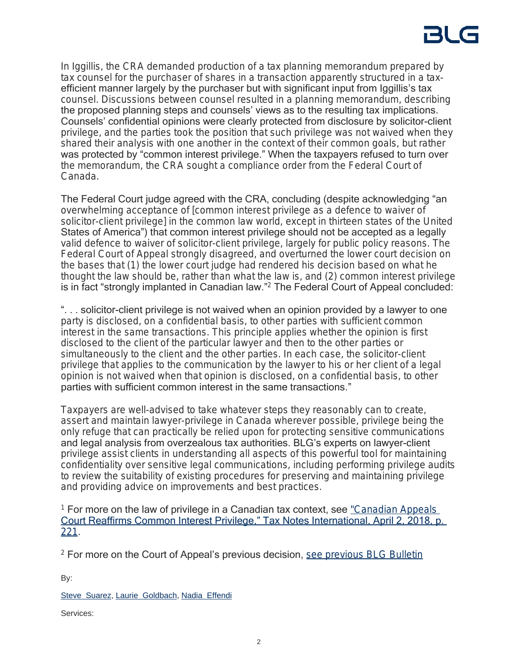In Iggillis, the CRA demanded production of a tax planning memorandum prepared by tax counsel for the purchaser of shares in a transaction apparently structured in a taxefficient manner largely by the purchaser but with significant input from Iggillis's tax counsel. Discussions between counsel resulted in a planning memorandum, describing the proposed planning steps and counsels' views as to the resulting tax implications. Counsels' confidential opinions were clearly protected from disclosure by solicitor-client privilege, and the parties took the position that such privilege was not waived when they shared their analysis with one another in the context of their common goals, but rather was protected by "common interest privilege." When the taxpayers refused to turn over the memorandum, the CRA sought a compliance order from the Federal Court of Canada.

The Federal Court judge agreed with the CRA, concluding (despite acknowledging "an overwhelming acceptance of [common interest privilege as a defence to waiver of solicitor-client privilege] in the common law world, except in thirteen states of the United States of America") that common interest privilege should not be accepted as a legally valid defence to waiver of solicitor-client privilege, largely for public policy reasons. The Federal Court of Appeal strongly disagreed, and overturned the lower court decision on the bases that (1) the lower court judge had rendered his decision based on what he thought the law should be, rather than what the law is, and (2) common interest privilege is in fact "strongly implanted in Canadian law." 2 The Federal Court of Appeal concluded:

". . . solicitor-client privilege is not waived when an opinion provided by a lawyer to one party is disclosed, on a confidential basis, to other parties with sufficient common interest in the same transactions. This principle applies whether the opinion is first disclosed to the client of the particular lawyer and then to the other parties or simultaneously to the client and the other parties. In each case, the solicitor-client privilege that applies to the communication by the lawyer to his or her client of a legal opinion is not waived when that opinion is disclosed, on a confidential basis, to other parties with sufficient common interest in the same transactions."

Taxpayers are well-advised to take whatever steps they reasonably can to create, assert and maintain lawyer-privilege in Canada wherever possible, privilege being the only refuge that can practically be relied upon for protecting sensitive communications and legal analysis from overzealous tax authorities. BLG's experts on lawyer-client privilege assist clients in understanding all aspects of this powerful tool for maintaining confidentiality over sensitive legal communications, including performing privilege audits to review the suitability of existing procedures for preserving and maintaining privilege and providing advice on improvements and best practices.

<sup>1</sup> For more on the law of privilege in a Canadian tax context, see "Canadian Appeals [Court Reaffirms Common Interest Privilege," Tax Notes International, April 2, 2018, p.](http://blg.com/en/News-And-Publications/Documents/Tax-Notes-Canadian-Appeals-Court-Reaffirms-Common-Interest-Privilege_-_APR2018.pdf)  [221](http://blg.com/en/News-And-Publications/Documents/Tax-Notes-Canadian-Appeals-Court-Reaffirms-Common-Interest-Privilege_-_APR2018.pdf).

<sup>2</sup> For more on the Court of Appeal's previous decision, [see previous BLG Bulletin](https://blg.com/en/News-And-Publications/Pages/Publication_5244.aspx)

By:

[Steve Suarez,](https://www.blg.com/en/people/s/suarez-steve) [Laurie Goldbach](https://www.blg.com/en/people/g/goldbach-laurie), [Nadia Effendi](https://www.blg.com/en/people/e/effendi-nadia)

Services: